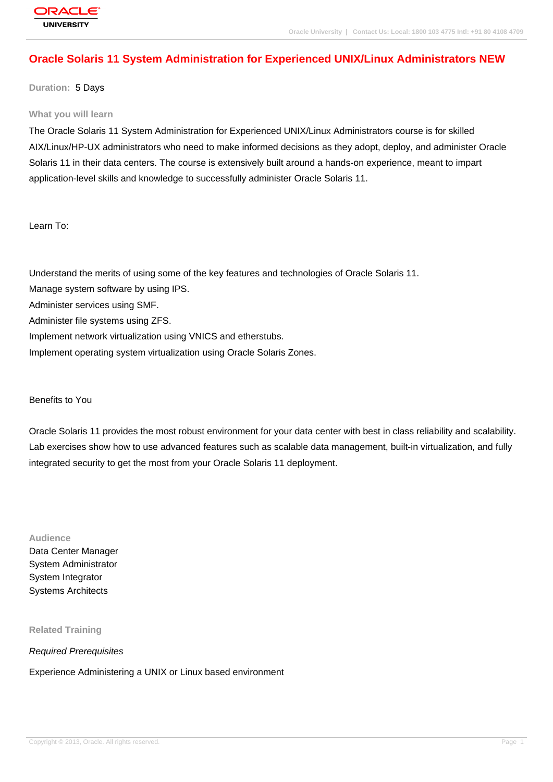# **[Oracle Solaris](http://education.oracle.com/pls/web_prod-plq-dad/db_pages.getpage?page_id=3) 11 System Administration for Experienced UNIX/Linux Administrators NEW**

**Duration:** 5 Days

#### **What you will learn**

The Oracle Solaris 11 System Administration for Experienced UNIX/Linux Administrators course is for skilled AIX/Linux/HP-UX administrators who need to make informed decisions as they adopt, deploy, and administer Oracle Solaris 11 in their data centers. The course is extensively built around a hands-on experience, meant to impart application-level skills and knowledge to successfully administer Oracle Solaris 11.

Learn To:

Understand the merits of using some of the key features and technologies of Oracle Solaris 11. Manage system software by using IPS.

Administer services using SMF.

Administer file systems using ZFS.

Implement network virtualization using VNICS and etherstubs.

Implement operating system virtualization using Oracle Solaris Zones.

Benefits to You

Oracle Solaris 11 provides the most robust environment for your data center with best in class reliability and scalability. Lab exercises show how to use advanced features such as scalable data management, built-in virtualization, and fully integrated security to get the most from your Oracle Solaris 11 deployment.

**Audience**

Data Center Manager System Administrator System Integrator Systems Architects

**Related Training**

Required Prerequisites

Experience Administering a UNIX or Linux based environment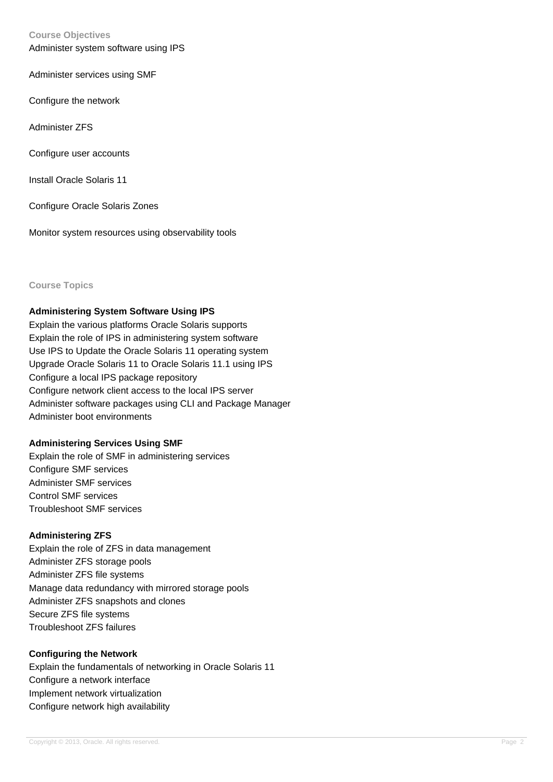#### **Course Objectives**

Administer system software using IPS

Administer services using SMF

Configure the network

Administer ZFS

Configure user accounts

Install Oracle Solaris 11

Configure Oracle Solaris Zones

Monitor system resources using observability tools

#### **Course Topics**

### **Administering System Software Using IPS**

Explain the various platforms Oracle Solaris supports Explain the role of IPS in administering system software Use IPS to Update the Oracle Solaris 11 operating system Upgrade Oracle Solaris 11 to Oracle Solaris 11.1 using IPS Configure a local IPS package repository Configure network client access to the local IPS server Administer software packages using CLI and Package Manager Administer boot environments

### **Administering Services Using SMF**

Explain the role of SMF in administering services Configure SMF services Administer SMF services Control SMF services Troubleshoot SMF services

# **Administering ZFS**

Explain the role of ZFS in data management Administer ZFS storage pools Administer ZFS file systems Manage data redundancy with mirrored storage pools Administer ZFS snapshots and clones Secure ZFS file systems Troubleshoot ZFS failures

### **Configuring the Network**

Explain the fundamentals of networking in Oracle Solaris 11 Configure a network interface Implement network virtualization Configure network high availability